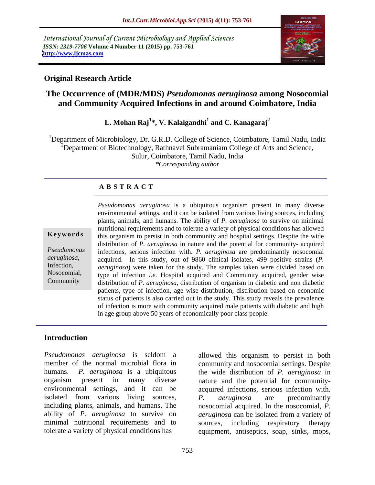International Journal of Current Microbiology and Applied Sciences *ISSN: 2319-7706* **Volume 4 Number 11 (2015) pp. 753-761 <http://www.ijcmas.com>**



### **Original Research Article**

### **The Occurrence of (MDR/MDS)** *Pseudomonas aeruginosa* **among Nosocomial and Community Acquired Infections in and around Coimbatore, India**

### **L. Mohan Raj<sup>1</sup> \*, V. Kalaigandhi<sup>1</sup> and C. Kanagaraj<sup>2</sup>**

<sup>1</sup>Department of Microbiology, Dr. G.R.D. College of Science, Coimbatore, Tamil Nadu, India  $2D$ epartment of Biotechnology, Rathnavel Subramaniam College of Arts and Science, Sulur, Coimbatore, Tamil Nadu, India *\*Corresponding author*

### **A B S T R A C T**

Nosocomial, Community

*Pseudomonas aeruginosa* is a ubiquitous organism present in many diverse environmental settings, and it can be isolated from various living sources, including plants, animals, and humans. The ability of *P. aeruginosa* to survive on minimal nutritional requirements and to tolerate a variety of physical conditions has allowed **Keywords** this organism to persist in both community and hospital settings. Despite the wide distribution of *P. aeruginosa* in nature and the potential for community- acquired infections, serious infection with. *P. aeruginosa* are predominantly nosocomial *Pseudomonas*  acquired. In this study, out of 9860 clinical isolates, 499 positive strains (*P. aeruginosa,* Infection, *aeruginosa*) were taken for the study. The samples taken were divided based on type of infection *i.e.* Hospital acquired and Community acquired, gender wise distribution of *P. aeruginosa*, distribution of organism in diabetic and non diabetic patients, type of infection, age wise distribution, distribution based on economic status of patients is also carried out in the study. This study reveals the prevalence of infection is more with community acquired male patients with diabetic and high in age group above 50 years of economically poor class people.

### **Introduction**

*Pseudomonas aeruginosa* is seldom a allowed this organism to persist in both member of the normal microbial flora in community and nosocomial settings. Despite humans. *P. aeruginosa* is a ubiquitous the wide distribution of *P. aeruginosa* in organism present in many diverse nature and the potential for community environmental settings, and it can be acquired infections, serious infection with. isolated from various living sources, b. *neruginosa* are predominantly including plants, animals, and humans. The nosocomial acquired. In the nosocomial, *P.* ability of *P. aeruginosa* to survive on *aeruginosa* can be isolated from a variety of minimal nutritional requirements and to sources, including respiratory therapy

tolerate a variety of physical conditions has equipment, antiseptics, soap, sinks, mops, *P. aeruginosa* are predominantly sources, including respiratory therapy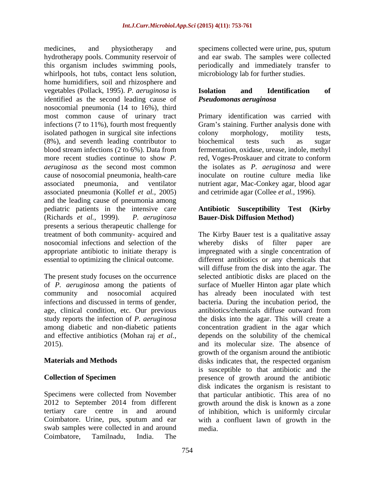medicines, and physiotherapy and specimens collected were urine, pus, sputum hydrotherapy pools. Community reservoir of and ear swab. The samples were collected this organism includes swimming pools, periodically and immediately transfer to whirlpools, hot tubs, contact lens solution, home humidifiers, soil and rhizosphere and vegetables (Pollack, 1995). *P. aeruginosa* is identified as the second leading cause of Pseudomonas aeruginosa nosocomial pneumonia (14 to 16%), third most common cause of urinary tract Primary identification was carried with infections (7 to 11%), fourth most frequently Gram's staining. Further analysis done with isolated pathogen in surgical site infections colony morphology, motility tests, (8%), and seventh leading contributor to biochemical tests such as sugar blood stream infections (2 to 6%). Data from fermentation, oxidase, urease, indole, methyl more recent studies continue to show *P*. red, Voges-Proskauer and citrate to conform *aeruginosa as* the second most common cause of nosocomial pneumonia, health-care inoculate on routine culture media like associated pneumonia, and ventilator nutrient agar, Mac-Conkey agar, blood agar associated pneumonia (Kollef *et al.,* 2005) and the leading cause of pneumonia among pediatric patients in the intensive care **Antibiotic Susceptibility Test (Kirby** (Richards *et al.,* 1999). *P. aeruginosa* **Bauer-Disk Diffusion Method)** presents a serious therapeutic challenge for nosocomial infections and selection of the whereby disks of filter paper are

The present study focuses on the occurrence infections and discussed in terms of gender, age, clinical condition, etc. Our previous antibiotics/chemicals diffuse outward from study reports the infection of *P. aeruginosa* 

swab samples were collected in and around Coimbatore, Tamilnadu, India. The

microbiology lab for further studies.

### **Isolation and Identification of** *Pseudomonas aeruginosa*

colony morphology, motility tests, biochemical tests such as sugar the isolates as *P. aeruginosa* and were and cetrimide agar (Collee *et al.,* 1996).

treatment of both community- acquired and The Kirby Bauer test is a qualitative assay appropriate antibiotic to initiate therapy is impregnated with a single concentration of essential to optimizing the clinical outcome. different antibiotics or any chemicals that of *P. aeruginosa* among the patients of surface of Mueller Hinton agar plate which community and nosocomial acquired has already been inoculated with test among diabetic and non-diabetic patients concentration gradient in the agar which and effective antibiotics (Mohan raj *et al.,* depends on the solubility of the chemical 2015). and its molecular size. The absence of **Materials and Methods** disks indicates that, the respected organism **Collection of Specimen** presence of growth around the antibiotic Specimens were collected from November that particular antibiotic. This area of no 2012 to September 2014 from different growth around the disk is known as a zone tertiary care centre in and around of inhibition, which is uniformly circular Coimbatore. Urine, pus, sputum and ear with a confluent lawn of growth in the disks of filter paper will diffuse from the disk into the agar. The selected antibiotic disks are placed on the bacteria. During the incubation period, the antibiotics/chemicals diffuse outward from the disks into the agar. This will create a growth of the organism around the antibiotic is susceptible to that antibiotic and the disk indicates the organism is resistant to media.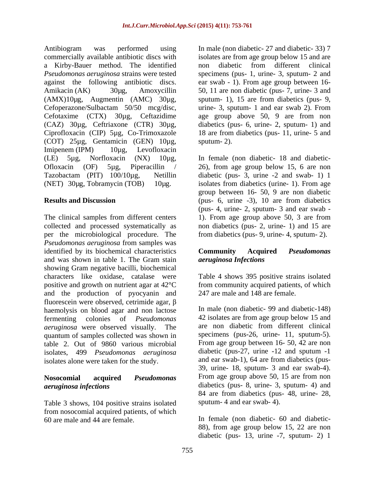Antibiogram was performed using In male (non diabetic- 27 and diabetic- 33) 7 commercially available antibiotic discs with isolates are from age group below 15 and are a Kirby-Bauer method. The identified *Pseudomonas aeruginosa* strains were tested specimens (pus- 1, urine- 3, sputum- 2 and against the following antibiotic discs. ear swab - 1). From age group between 16- Amikacin (AK) 30μg, Amoxycillin 50, 11 are non diabetic (pus- 7, urine- 3 and (AMX)10µg, Augmentin (AMC) 30µg, Cefoperazone/Sulbactam 50/50 mcg/disc, urine- 3, sputum- 1 and ear swab 2). From Cefotaxime (CTX) 30µg, Ceftazidime age group above 50, 9 are from non (CAZ) 30µg, Ceftriaxone (CTR) 30µg, diabetics (pus- 6, urine- 2, sputum- 1) and Ciprofloxacin (CIP) 5µg, Co-Trimoxazole (COT) 25µg, Gentamicin (GEN) 10µg, Imipenem (IPM) 10µg, Levofloxacin (LE) 5µg, Norfloxacin (NX) 10µg, In female (non diabetic- 18 and diabetic- Ofloxacin (OF) 5µg, Piperacillin / 26), from age group below 15, 6 are non Tazobactam (PIT) 100/10µg, Netillin diabetic (pus- 3, urine -2 and swab- 1) 1 (NET) 30µg, Tobramycin (TOB) 10µg. isolates from diabetics (urine- 1). From age

The clinical samples from different centers 1). From age group above 50, 3 are from collected and processed systematically as non diabetics (pus- 2, urine- 1) and 15 are per the microbiological procedure. The *Pseudomonas aeruginosa* from samples was identified by its biochemical characteristics **Community Acquired** *Pseudomonas* and was shown in table 1. The Gram stain showing Gram negative bacilli, biochemical characters like oxidase, catalase were Table 4 shows 395 positive strains isolated positive and growth on nutrient agar at 42°C from community acquired patients, of which and the production of pyocyanin and fluorescein were observed, cetrimide agar,  $\beta$ haemolysis on blood agar and non lactose fermenting colonies of *Pseudomonas*  42 isolates are from age group below 15 and *aeruginosa* were observed visually. The quantum of samples collected was shown in table 2. Out of 9860 various microbial isolates, 499 *Pseudomonas aeruginosa* diabetic (pus-27, urine -12 and sputum -1 isolates alone were taken for the study.

Table 3 shows, 104 positive strains isolated from nosocomial acquired patients, of which

non diabetic from different clinical sputum- 1), 15 are from diabetics (pus- 9, 18 are from diabetics (pus- 11, urine- 5 and sputum- 2).

**Results and Discussion** (pus- 6, urine -3), 10 are from diabetics group between 16- 50, 9 are non diabetic (pus- 4, urine- 2, sputum- 3 and ear swab from diabetics (pus- 9, urine- 4, sputum- 2).

### **Community Acquired** *Pseudomonas aeruginosa Infections*

247 are male and 148 are female.

**Nosocomial acquired** *Pseudomonas*  From age group above 50, 15 are from non *aeruginosa infections* diabetics (pus- 8, urine- 3, sputum- 4) and In male (non diabetic- 99 and diabetic-148) are non diabetic from different clinical specimens (pus-26, urine- 11, sputum-5). From age group between 16- 50, 42 are non and ear swab-1), 64 are from diabetics (pus- 39, urine- 18, sputum- 3 and ear swab-4). 84 are from diabetics (pus- 48, urine- 28, sputum- 4 and ear swab- 4).

60 are male and 44 are female. In female (non diabetic- 60 and diabetic- 88), from age group below 15, 22 are non diabetic (pus- 13, urine -7, sputum- 2) 1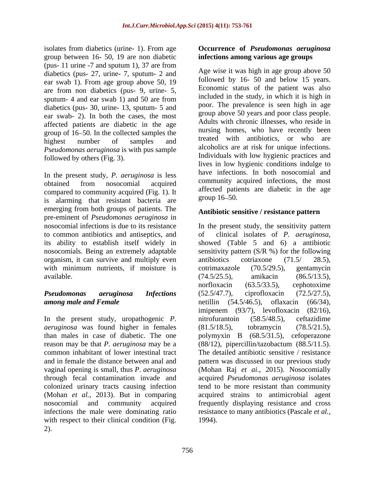isolates from diabetics (urine- 1). From age **Occurrence of** *Pseudomonas aeruginosa*  group between 16- 50, 19 are non diabetic (pus- 11 urine -7 and sputum 1), 37 are from diabetics (pus- 27, urine- 7, sputum- 2 and ear swab 1). From age group above 50, 19 are from non diabetics (pus- 9, urine- 5, sputum- 4 and ear swab 1) and 50 are from diabetics (pus- 30, urine- 13, sputum- 5 and ear swab- 2). In both the cases, the most affected patients are diabetic in the age group of 16 50. In the collected samples the *Pseudomonas aeruginosa* is with pus sample followed by others (Fig. 3).

In the present study, *P. aeruginosa* is less compared to community acquired (Fig. 1). It<br>is alarming that registent bectoria are group 16–50. is alarming that resistant bacteria are emerging from both groups of patients. The pre-eminent of *Pseudomonas aeruginosa* in to common antibiotics and antiseptics, and  $\qquad$  of clinical isolates of *P. aeruginosa*, its ability to establish itself widely in nosocomials. Being an extremely adaptable organism, it can survive and multiply even antibiotics cotriaxone (71.5/ 28.5), with minimum nutrients, if moisture is cotrimaxazole (70.5/29.5), gentamvcin

In the present study, uropathogenic *P*. nitrofurantoin (58.5/48.5), ceftazidime *aeruginosa* was found higher in females (81.5/18.5), tobramycin (78.5/21.5), reason may be that *P. aeruginosa* may be a colonized urinary tracts causing infection with respect to their clinical condition (Fig. 2).

# **infections among various age groups**

highest number of samples and treated with antibodics, or who are obtained from nosocomial acquired community acquired intections, the most Age wise it was high in age group above 50 followed by 16- 50 and below 15 years. Economic status of the patient was also included in the study, in which it is high in poor. The prevalence is seen high in age group above 50 years and poor class people. Adults with chronic illnesses, who reside in nursing homes, who have recently been treated with antibiotics, or who are alcoholics are at risk for unique infections. Individuals with low hygienic practices and lives in low hygienic conditions indulge to have infections. In both nosocomial and community acquired infections, the most affected patients are diabetic in the age group  $16 - 50$ .

### **Antibiotic sensitive / resistance pattern**

nosocomial infections is due to its resistance In the present study, the sensitivity pattern available. (74.5/25.5), amikacin (86.5/13.5), *Pseudomonas aeruginosa Infections among male and Female* netillin (54.5/46.5), oflaxacin (66/34), than males in case of diabetic. The one polymyxin B (68.5/31.5), cefoperazone common inhabitant of lower intestinal tract The detailed antibiotic sensitive / resistance and in female the distance between anal and pattern was discussed in our previous study vaginal opening is small, thus *P. aeruginosa*  (Mohan Raj *et ai*., 2015). Nosocomially through fecal contamination invade and acquired *Pseudomonas aeruginosa* isolates (Mohan *et al.,* 2013). But in comparing acquired strains to antimicrobial agent nosocomial and community acquired frequently displaying resistance and cross infections the male were dominating ratio resistance to many antibiotics (Pascale *et al.*, of clinical isolates of *P. aeruginosa*, showed (Table 5 and 6) <sup>a</sup> antibiotic sensitivity pattern  $(S/R \%)$  for the following antibiotics cotriaxone (71.5/ 28.5), cotrimaxazole (70.5/29.5), gentamycin (74.5/25.5), amikacin (86.5/13.5), norfloxacin (63.5/33.5), cephotoxime (52.5/47.7), ciprofloxacin (72.5/27.5), imipenem (93/7), levofloxacin (82/16), nitrofurantoin (58.5/48.5), ceftazidime (81.5/18.5), tobramycin (78.5/21.5), (88/12), pipercillin/tazobactum (88.5/11.5). tend to be more resistant than community 1994).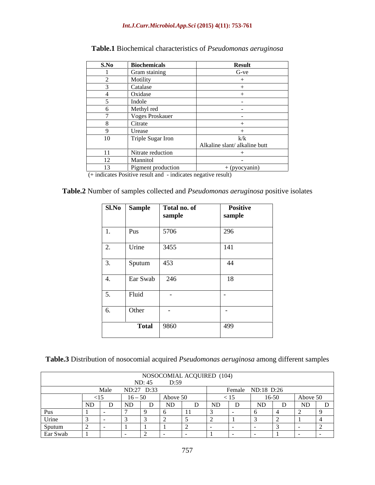### *Int.J.Curr.Microbiol.App.Sci* **(2015) 4(11): 753-761**

| S.No | <b>Biochemicals</b>    | <b>Result</b>                |
|------|------------------------|------------------------------|
|      | Gram staining          | $G$ -ve                      |
|      | Motility               |                              |
|      | Catalase               |                              |
|      | Oxidase                |                              |
|      | Indole                 |                              |
|      | Methyl red             |                              |
|      | <b>Voges Proskauer</b> |                              |
|      | Citrate                |                              |
|      | Urease                 |                              |
| 10   | Triple Sugar Iron      | k/k                          |
|      |                        | Alkaline slant/alkaline butt |
| -11  | Nitrate reduction      |                              |
| 12   | Mannitol               |                              |
|      | Pigment production     | $+$ (pyocyanin)              |

## **Table.1** Biochemical characteristics of *Pseudomonas aeruginosa*

(+ indicates Positive result and - indicates negative result)

| Table.2 Number of samples collected and <i>Pseudomonas aeruginosa</i> positive isolates |
|-----------------------------------------------------------------------------------------|
|-----------------------------------------------------------------------------------------|

|            | Sl.No Sample | Total no. of<br>sample | <b>Positive</b><br>sample |
|------------|--------------|------------------------|---------------------------|
|            | Pus          | 5706                   | $\overline{296}$          |
| 2.         | Urine        | 3455                   | 141                       |
| 3.         | Sputum       | 453                    | 44                        |
| $\vert 4.$ | Ear Swab     | 246                    | 18                        |
| 5.         | Fluid        |                        |                           |
| 6.         | Other        |                        |                           |
|            |              | <b>Total</b> 9860      | 499                       |

| Table.3 Distribution of nosocomial a | <i>onas aeruginosa</i> an<br>acquired<br>. A Pseudomonas $\sigma^2$ | different samples<br>ാmong പ |  |  |
|--------------------------------------|---------------------------------------------------------------------|------------------------------|--|--|
|                                      |                                                                     |                              |  |  |

| NOSOCOMIAL ACQUIRED (104)<br>D: 45 D: 59<br>ND: 45 |                                                                 |            |  |          |  |                                                                |                   |       |          |
|----------------------------------------------------|-----------------------------------------------------------------|------------|--|----------|--|----------------------------------------------------------------|-------------------|-------|----------|
|                                                    | Male                                                            | ND:27 D:33 |  |          |  |                                                                | Female ND:18 D:26 |       |          |
|                                                    |                                                                 | $16 - 50$  |  | Above 50 |  | 1J                                                             |                   | 16-50 | Above 50 |
|                                                    | the contract of the contract of the contract of the contract of |            |  |          |  | <u> 1980 - Andrea Stadt Britain, amerikansk fotballstvands</u> |                   |       |          |
|                                                    |                                                                 |            |  |          |  |                                                                |                   |       |          |
| Urine                                              |                                                                 |            |  |          |  |                                                                |                   |       |          |
| 1 Sputum<br>$\sim$ $\sim$                          |                                                                 |            |  |          |  |                                                                |                   |       |          |
| Ear Swab                                           |                                                                 |            |  |          |  |                                                                |                   |       |          |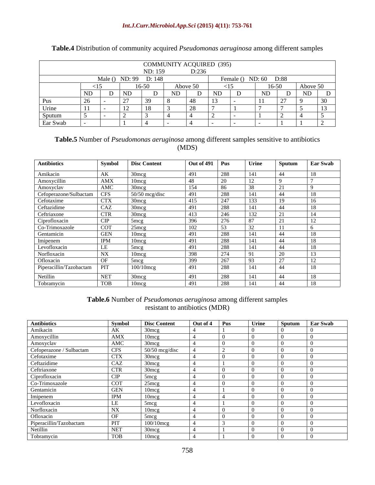### *Int.J.Curr.Microbiol.App.Sci* **(2015) 4(11): 753-761**

|                         |                       | ND: 159 |            | <b>COMMUNITY ACQUIRED (395)</b><br>D.22<br>J.LJ'' |  |                       |                     |  |
|-------------------------|-----------------------|---------|------------|---------------------------------------------------|--|-----------------------|---------------------|--|
|                         | Male () ND: 99 D: 148 |         |            |                                                   |  | Female () ND: 60 D:88 |                     |  |
|                         |                       | 16.50   |            | $\Lambda$ hove $\Lambda$<br>11001000              |  | $\sim$ 0              | Above 50<br>1001000 |  |
|                         | 1 N I                 |         | <b>ATD</b> |                                                   |  |                       |                     |  |
|                         |                       |         |            |                                                   |  |                       |                     |  |
| Urine                   |                       |         |            |                                                   |  |                       |                     |  |
| Sputum<br>$\sim$ $\sim$ |                       |         |            |                                                   |  |                       |                     |  |
| Ear Swab                |                       |         |            |                                                   |  |                       |                     |  |

### **Table.4** Distribution of community acquired *Pseudomonas aeruginosa* among different samples

### **Table.5** Number of *Pseudomonas aeruginosa* among different samples sensitive to antibiotics (MDS)

| Antibiotics                          |            | Symbol Disc Content | Out of $491$ Pus |         | Urine | <b>Sputum</b>  | Ear Swab        |
|--------------------------------------|------------|---------------------|------------------|---------|-------|----------------|-----------------|
| Amikacin                             | AK         | $1.30$ mc $\sigma$  |                  | ) Q Q   | 141   | -44            | 1 Q             |
| Amoxycillin                          | AMX        | $10$ mcs            |                  |         |       |                |                 |
| Amoxyclav                            | AMC        | $1.30$ mco          |                  |         |       |                |                 |
|                                      | <b>CFS</b> | $50/50$ mcg/disc    |                  |         | 141   | 44             |                 |
| Cefoperazone/Sulbactam<br>Cefotaxime |            | $1.30$ mc $\sigma$  |                  |         |       |                |                 |
| Ceftazidime                          | CAZ        | $-30$ mc $\sigma$   |                  |         |       | 44             |                 |
| Ceftriaxone                          | CTR        | $-30$ mc $\sigma$   |                  |         |       |                |                 |
| Ciprofloxacin                        |            | $1.5$ mc $\sigma$   |                  |         |       |                |                 |
| Co-Trimoxazole                       | COT        | $25$ mco            |                  |         |       |                |                 |
| Gentamicin                           |            | 10me                |                  |         |       | -44            |                 |
|                                      |            | 10m                 |                  |         |       | -44            |                 |
| Imipenem<br>Levofloxacin             |            | $-5$ mc $\sigma$    |                  |         |       |                |                 |
| Norfloxacin                          |            | $10$ mc             |                  |         |       |                |                 |
| Ofloxacin                            |            | $5$ mc $\sigma$     |                  |         |       |                |                 |
| Piperacillin/Tazobactam              | <b>PIT</b> | $100/10$ mcg        | 401              | າວວ     | 141   | $\overline{A}$ | $\overline{10}$ |
| Netillin                             | NET.       | $1.30$ mc $\sigma$  | 491              | QQ      | 141   | $\vert$ 44     |                 |
| Tobramycin                           |            | $10$ mcs            |                  | $\circ$ | 141   | 44             |                 |

### **Table.6** Number of *Pseudomonas aeruginosa* among different samples resistant to antibiotics (MDR)

| Antibiotics                         | Symbol                          | <b>Disc Content</b>       | Out of 4 Pus                          |              |              | Sputum Ear Swab |  |
|-------------------------------------|---------------------------------|---------------------------|---------------------------------------|--------------|--------------|-----------------|--|
| Amikacin                            | $\Delta K$                      | $30$ mcg                  |                                       |              |              |                 |  |
| Amoxycillin<br>Amoxyclav            | AMX                             | $10$ mcg                  | $\boldsymbol{A}$ and $\boldsymbol{A}$ | $\mathbf{a}$ | $\mathbf{a}$ |                 |  |
|                                     | AMC                             | $30 \text{mcg}$           |                                       | $\mathbf{a}$ |              |                 |  |
| Cefoperazone / Sulbactam            |                                 | 50/50 mcg/disc            |                                       |              |              |                 |  |
| Cefotaxime<br>Ceftazidime           | $\mathsf{U} \mathsf{I} \Lambda$ | $30 \text{mcg}$<br>$\sim$ |                                       |              |              |                 |  |
|                                     | CAZ                             | $1.30$ mcg                |                                       |              |              |                 |  |
| Ceftriaxone                         | CTR                             | $1.30$ mcg                |                                       |              |              |                 |  |
| Ciprofloxacin                       | L CIP-                          | 5mco<br>$\sim$            |                                       |              |              |                 |  |
| Co-Trimoxazole                      | COT -                           | 25mcg<br>$\sim$ 0         |                                       |              |              |                 |  |
| Gentamicin                          | GEN.                            | 10mco                     |                                       |              |              |                 |  |
|                                     |                                 | $10$ m $co$               |                                       |              |              |                 |  |
| Imipenem<br>Levofloxacin            |                                 |                           |                                       |              |              |                 |  |
| Norfloxacin                         |                                 | $\sim$<br>$10$ mcg        |                                       |              |              |                 |  |
| Ofloxacin                           |                                 | $5$ mc $\sigma$           |                                       |              |              |                 |  |
|                                     |                                 | $\frac{6}{100/10}$ mcg    |                                       |              |              |                 |  |
| Piperacillin/Tazobactam<br>Netillin |                                 | $1.30$ mcg                |                                       |              |              |                 |  |
| Tobramycin                          |                                 | $10$ mcg                  |                                       |              |              |                 |  |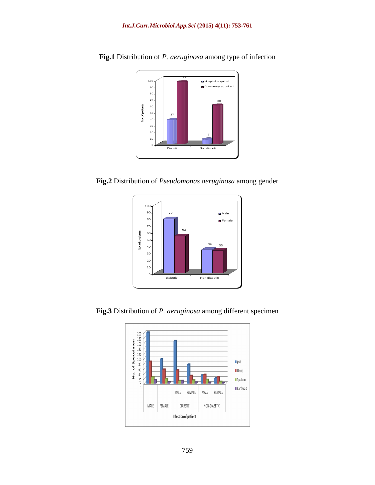

**Fig.1** Distribution of *P. aeruginosa* among type of infection

**Fig.2** Distribution of *Pseudomonas aeruginosa* among gender



**Fig.3** Distribution of *P. aeruginosa* among different specimen

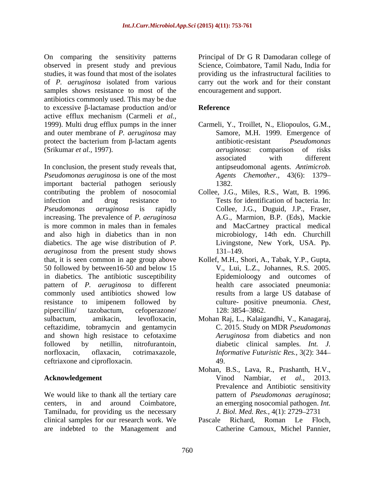On comparing the sensitivity patterns Principal of Dr G R Damodaran college of observed in present study and previous studies, it was found that most of the isolates providing us the infrastructural facilities to of *P. aeruginosa* isolated from various carry out the work and for their constant samples shows resistance to most of the antibiotics commonly used. This may be due to excessive  $\beta$ -lactamase production and/or **Reference** active efflux mechanism (Carmeli *et al.,* and outer membrane of *P. aeruginosa* may protect the bacterium from  $\beta$ -lactam agents antibiotic-resistant *Pseudomonas* (Srikumar *et al.,* 1997).

In conclusion, the present study reveals that, *Pseudomonas aeruginosa* is one of the most important bacterial pathogen seriously contributing the problem of nosocomial infection and drug resistance to Tests for identification of bacteria. In: *Pseudomonas aeruginosa* is rapidly Collee, J.G., Duguid, J.P., Fraser, increasing. The prevalence of *P. aeruginosa* is more common in males than in females and also high in diabetics than in non diabetics. The age wise distribution of *P. aeruginosa* from the present study shows 131–149. that, it is seen common in age group above Kollef, M.H., Shori, A., Tabak, Y.P., Gupta, 50 followed by between16-50 and below 15 in diabetics. The antibiotic susceptibility pattern of *P. aeruginosa* to different commonly used antibiotics showed low results from a large US database of resistance to imipenem followed by culture- positive pneumonia. Chest, pipercillin/ tazobactum, cefoperazone/ sulbactum, amikacin, levofloxacin, Mohan Raj, L., Kalaigandhi, V., Kanagaraj, ceftazidime, tobramycin and gentamycin and shown high resistace to cefotaxime *Aeruginosa* from diabetics and non followed by netillin, nitrofurantoin, diabetic clinical samples. *Int. J.* norfloxacin, oflaxacin, cotrimaxazole, *Informative Futuristic Res.,* 3(2): 344 ceftriaxone and ciprofloxacin.

We would like to thank all the tertiary care centers, in and around Coimbatore, an emerging nosocomial pathogen. *Int*. Tamilnadu, for providing us the necessary clinical samples for our research work. We Pascale Richard, Roman Le Floch, are indebted to the Management and

Science, Coimbatore, Tamil Nadu, India for encouragement and support.

### **Reference**

- 1999). Multi drug efflux pumps in the inner Carmeli, Y., Troillet, N., Eliopoulos, G.M., Samore, M.H. 1999. Emergence of antibiotic-resistant *Pseudomonas aeruginosa*: comparison of risks associated with different antipseudomonal agents. *Antimicrob. Agents Chemother.,* 43(6): 1379 1382.
	- Collee, J.G., Miles, R.S., Watt, B. 1996. A.G., Marmion, B.P. (Eds), Mackie and MacCartney practical medical microbiology, 14th edn. Churchill Livingstone, New York, USA. Pp. 131–149.
	- V., Lui, L.Z., Johannes, R.S. 2005. Epidemioloogy and outcomes of health care associated pneumonia: results from a large US database of culture- positive pneumonia. *Chest,* 128: 3854–3862.
	- C. 2015. Study on MDR *Pseudomonas Aeruginosa* from diabetics and non 49.
- **Acknowledgement** Vinod Nambiar, *et al.*, 2013. Mohan, B.S., Lava, R., Prashanth, H.V., Vinod Nambiar, *et al.,* 2013. Prevalence and Antibiotic sensitivity pattern of *Pseudomonas aeruginosa*; *J. Biol. Med. Res., 4(1): 2729-2731* 
	- Pascale Richard, Roman Le Floch, Catherine Camoux, Michel Pannier,